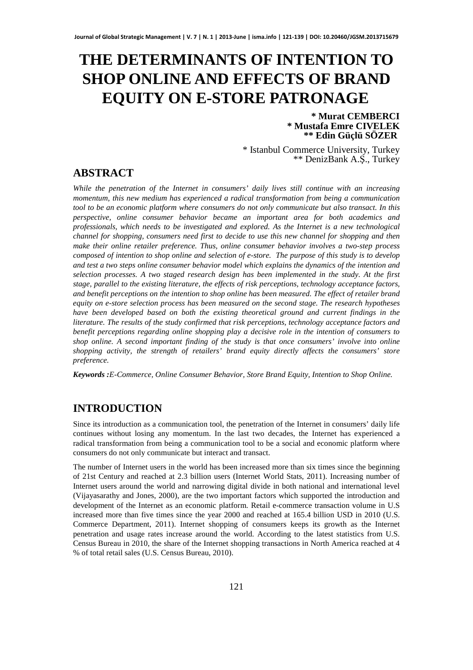# **THE DETERMINANTS OF INTENTION TO SHOP ONLINE AND EFFECTS OF BRAND EQUITY ON E-STORE PATRONAGE**

#### **\* Murat CEMBERCI \* Mustafa Emre CIVELEK \*\* Edin Güçlü SÖZER**

\* Istanbul Commerce University, Turkey \*\* DenizBank A.Ş., Turkey

# **ABSTRACT**

*While the penetration of the Internet in consumers' daily lives still continue with an increasing momentum, this new medium has experienced a radical transformation from being a communication tool to be an economic platform where consumers do not only communicate but also transact. In this perspective, online consumer behavior became an important area for both academics and professionals, which needs to be investigated and explored. As the Internet is a new technological channel for shopping, consumers need first to decide to use this new channel for shopping and then make their online retailer preference. Thus, online consumer behavior involves a two-step process composed of intention to shop online and selection of e-store. The purpose of this study is to develop and test a two steps online consumer behavior model which explains the dynamics of the intention and selection processes. A two staged research design has been implemented in the study. At the first stage, parallel to the existing literature, the effects of risk perceptions, technology acceptance factors, and benefit perceptions on the intention to shop online has been measured. The effect of retailer brand equity on e-store selection process has been measured on the second stage. The research hypotheses have been developed based on both the existing theoretical ground and current findings in the literature. The results of the study confirmed that risk perceptions, technology acceptance factors and benefit perceptions regarding online shopping play a decisive role in the intention of consumers to shop online. A second important finding of the study is that once consumers' involve into online shopping activity, the strength of retailers' brand equity directly affects the consumers' store preference.* 

*Keywords :E-Commerce, Online Consumer Behavior, Store Brand Equity, Intention to Shop Online.* 

# **INTRODUCTION**

Since its introduction as a communication tool, the penetration of the Internet in consumers' daily life continues without losing any momentum. In the last two decades, the Internet has experienced a radical transformation from being a communication tool to be a social and economic platform where consumers do not only communicate but interact and transact.

The number of Internet users in the world has been increased more than six times since the beginning of 21st Century and reached at 2.3 billion users (Internet World Stats, 2011). Increasing number of Internet users around the world and narrowing digital divide in both national and international level (Vijayasarathy and Jones, 2000), are the two important factors which supported the introduction and development of the Internet as an economic platform. Retail e-commerce transaction volume in U.S increased more than five times since the year 2000 and reached at 165.4 billion USD in 2010 (U.S. Commerce Department, 2011). Internet shopping of consumers keeps its growth as the Internet penetration and usage rates increase around the world. According to the latest statistics from U.S. Census Bureau in 2010, the share of the Internet shopping transactions in North America reached at 4 % of total retail sales (U.S. Census Bureau, 2010).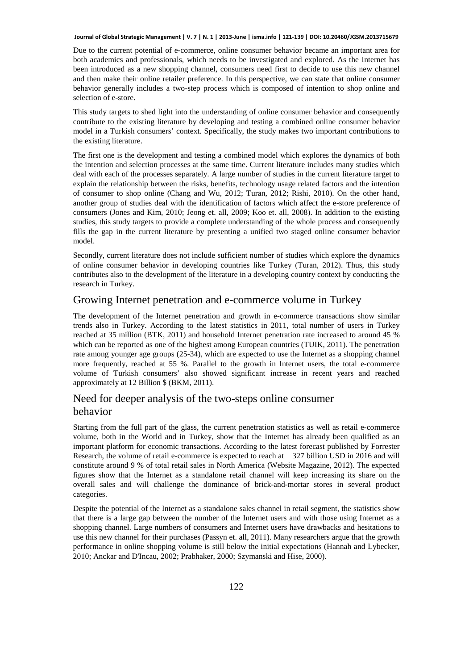Due to the current potential of e-commerce, online consumer behavior became an important area for both academics and professionals, which needs to be investigated and explored. As the Internet has been introduced as a new shopping channel, consumers need first to decide to use this new channel and then make their online retailer preference. In this perspective, we can state that online consumer behavior generally includes a two-step process which is composed of intention to shop online and selection of e-store.

This study targets to shed light into the understanding of online consumer behavior and consequently contribute to the existing literature by developing and testing a combined online consumer behavior model in a Turkish consumers' context. Specifically, the study makes two important contributions to the existing literature.

The first one is the development and testing a combined model which explores the dynamics of both the intention and selection processes at the same time. Current literature includes many studies which deal with each of the processes separately. A large number of studies in the current literature target to explain the relationship between the risks, benefits, technology usage related factors and the intention of consumer to shop online (Chang and Wu, 2012; Turan, 2012; Rishi, 2010). On the other hand, another group of studies deal with the identification of factors which affect the e-store preference of consumers (Jones and Kim, 2010; Jeong et. all, 2009; Koo et. all, 2008). In addition to the existing studies, this study targets to provide a complete understanding of the whole process and consequently fills the gap in the current literature by presenting a unified two staged online consumer behavior model.

Secondly, current literature does not include sufficient number of studies which explore the dynamics of online consumer behavior in developing countries like Turkey (Turan, 2012). Thus, this study contributes also to the development of the literature in a developing country context by conducting the research in Turkey.

### Growing Internet penetration and e-commerce volume in Turkey

The development of the Internet penetration and growth in e-commerce transactions show similar trends also in Turkey. According to the latest statistics in 2011, total number of users in Turkey reached at 35 million (BTK, 2011) and household Internet penetration rate increased to around 45 % which can be reported as one of the highest among European countries (TUIK, 2011). The penetration rate among younger age groups (25-34), which are expected to use the Internet as a shopping channel more frequently, reached at 55 %. Parallel to the growth in Internet users, the total e-commerce volume of Turkish consumers' also showed significant increase in recent years and reached approximately at 12 Billion \$ (BKM, 2011).

# Need for deeper analysis of the two-steps online consumer behavior

Starting from the full part of the glass, the current penetration statistics as well as retail e-commerce volume, both in the World and in Turkey, show that the Internet has already been qualified as an important platform for economic transactions. According to the latest forecast published by Forrester Research, the volume of retail e-commerce is expected to reach at 327 billion USD in 2016 and will constitute around 9 % of total retail sales in North America (Website Magazine, 2012). The expected figures show that the Internet as a standalone retail channel will keep increasing its share on the overall sales and will challenge the dominance of brick-and-mortar stores in several product categories.

Despite the potential of the Internet as a standalone sales channel in retail segment, the statistics show that there is a large gap between the number of the Internet users and with those using Internet as a shopping channel. Large numbers of consumers and Internet users have drawbacks and hesitations to use this new channel for their purchases (Passyn et. all, 2011). Many researchers argue that the growth performance in online shopping volume is still below the initial expectations (Hannah and Lybecker, 2010; Anckar and D'Incau, 2002; Prabhaker, 2000; Szymanski and Hise, 2000).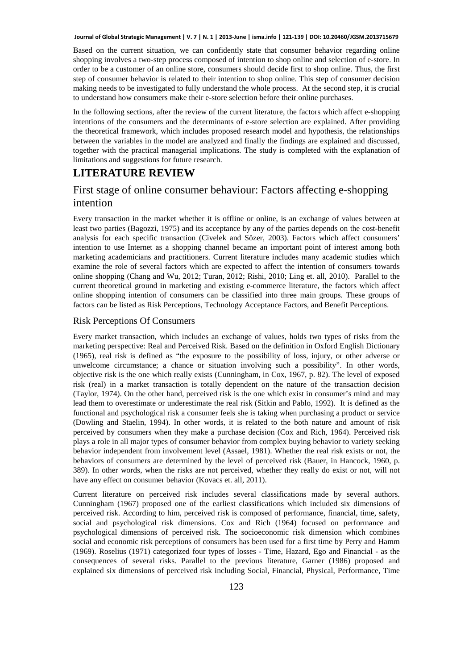Based on the current situation, we can confidently state that consumer behavior regarding online shopping involves a two-step process composed of intention to shop online and selection of e-store. In order to be a customer of an online store, consumers should decide first to shop online. Thus, the first step of consumer behavior is related to their intention to shop online. This step of consumer decision making needs to be investigated to fully understand the whole process. At the second step, it is crucial to understand how consumers make their e-store selection before their online purchases.

In the following sections, after the review of the current literature, the factors which affect e-shopping intentions of the consumers and the determinants of e-store selection are explained. After providing the theoretical framework, which includes proposed research model and hypothesis, the relationships between the variables in the model are analyzed and finally the findings are explained and discussed, together with the practical managerial implications. The study is completed with the explanation of limitations and suggestions for future research.

## **LITERATURE REVIEW**

# First stage of online consumer behaviour: Factors affecting e-shopping intention

Every transaction in the market whether it is offline or online, is an exchange of values between at least two parties (Bagozzi, 1975) and its acceptance by any of the parties depends on the cost-benefit analysis for each specific transaction (Civelek and Sözer, 2003). Factors which affect consumers' intention to use Internet as a shopping channel became an important point of interest among both marketing academicians and practitioners. Current literature includes many academic studies which examine the role of several factors which are expected to affect the intention of consumers towards online shopping (Chang and Wu, 2012; Turan, 2012; Rishi, 2010; Ling et. all, 2010). Parallel to the current theoretical ground in marketing and existing e-commerce literature, the factors which affect online shopping intention of consumers can be classified into three main groups. These groups of factors can be listed as Risk Perceptions, Technology Acceptance Factors, and Benefit Perceptions.

#### Risk Perceptions Of Consumers

Every market transaction, which includes an exchange of values, holds two types of risks from the marketing perspective: Real and Perceived Risk. Based on the definition in Oxford English Dictionary (1965), real risk is defined as "the exposure to the possibility of loss, injury, or other adverse or unwelcome circumstance; a chance or situation involving such a possibility". In other words, objective risk is the one which really exists (Cunningham, in Cox, 1967, p. 82). The level of exposed risk (real) in a market transaction is totally dependent on the nature of the transaction decision (Taylor, 1974). On the other hand, perceived risk is the one which exist in consumer's mind and may lead them to overestimate or underestimate the real risk (Sitkin and Pablo, 1992). It is defined as the functional and psychological risk a consumer feels she is taking when purchasing a product or service (Dowling and Staelin, 1994). In other words, it is related to the both nature and amount of risk perceived by consumers when they make a purchase decision (Cox and Rich, 1964). Perceived risk plays a role in all major types of consumer behavior from complex buying behavior to variety seeking behavior independent from involvement level (Assael, 1981). Whether the real risk exists or not, the behaviors of consumers are determined by the level of perceived risk (Bauer, in Hancock, 1960, p. 389). In other words, when the risks are not perceived, whether they really do exist or not, will not have any effect on consumer behavior (Kovacs et. all, 2011).

Current literature on perceived risk includes several classifications made by several authors. Cunningham (1967) proposed one of the earliest classifications which included six dimensions of perceived risk. According to him, perceived risk is composed of performance, financial, time, safety, social and psychological risk dimensions. Cox and Rich (1964) focused on performance and psychological dimensions of perceived risk. The socioeconomic risk dimension which combines social and economic risk perceptions of consumers has been used for a first time by Perry and Hamm (1969). Roselius (1971) categorized four types of losses - Time, Hazard, Ego and Financial - as the consequences of several risks. Parallel to the previous literature, Garner (1986) proposed and explained six dimensions of perceived risk including Social, Financial, Physical, Performance, Time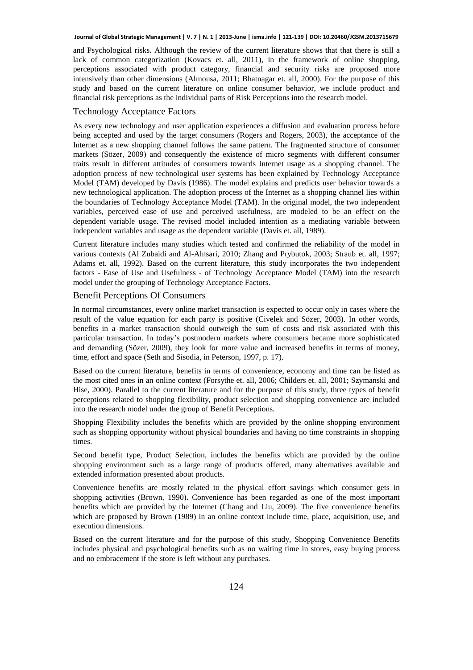and Psychological risks. Although the review of the current literature shows that that there is still a lack of common categorization (Kovacs et. all, 2011), in the framework of online shopping, perceptions associated with product category, financial and security risks are proposed more intensively than other dimensions (Almousa, 2011; Bhatnagar et. all, 2000). For the purpose of this study and based on the current literature on online consumer behavior, we include product and financial risk perceptions as the individual parts of Risk Perceptions into the research model.

#### Technology Acceptance Factors

As every new technology and user application experiences a diffusion and evaluation process before being accepted and used by the target consumers (Rogers and Rogers, 2003), the acceptance of the Internet as a new shopping channel follows the same pattern. The fragmented structure of consumer markets (Sözer, 2009) and consequently the existence of micro segments with different consumer traits result in different attitudes of consumers towards Internet usage as a shopping channel. The adoption process of new technological user systems has been explained by Technology Acceptance Model (TAM) developed by Davis (1986). The model explains and predicts user behavior towards a new technological application. The adoption process of the Internet as a shopping channel lies within the boundaries of Technology Acceptance Model (TAM). In the original model, the two independent variables, perceived ease of use and perceived usefulness, are modeled to be an effect on the dependent variable usage. The revised model included intention as a mediating variable between independent variables and usage as the dependent variable (Davis et. all, 1989).

Current literature includes many studies which tested and confirmed the reliability of the model in various contexts (Al Zubaidi and Al-Alnsari, 2010; Zhang and Prybutok, 2003; Straub et. all, 1997; Adams et. all, 1992). Based on the current literature, this study incorporates the two independent factors - Ease of Use and Usefulness - of Technology Acceptance Model (TAM) into the research model under the grouping of Technology Acceptance Factors.

#### Benefit Perceptions Of Consumers

In normal circumstances, every online market transaction is expected to occur only in cases where the result of the value equation for each party is positive (Civelek and Sözer, 2003). In other words, benefits in a market transaction should outweigh the sum of costs and risk associated with this particular transaction. In today's postmodern markets where consumers became more sophisticated and demanding (Sözer, 2009), they look for more value and increased benefits in terms of money, time, effort and space (Seth and Sisodia, in Peterson, 1997, p. 17).

Based on the current literature, benefits in terms of convenience, economy and time can be listed as the most cited ones in an online context (Forsythe et. all, 2006; Childers et. all, 2001; Szymanski and Hise, 2000). Parallel to the current literature and for the purpose of this study, three types of benefit perceptions related to shopping flexibility, product selection and shopping convenience are included into the research model under the group of Benefit Perceptions.

Shopping Flexibility includes the benefits which are provided by the online shopping environment such as shopping opportunity without physical boundaries and having no time constraints in shopping times.

Second benefit type, Product Selection, includes the benefits which are provided by the online shopping environment such as a large range of products offered, many alternatives available and extended information presented about products.

Convenience benefits are mostly related to the physical effort savings which consumer gets in shopping activities (Brown, 1990). Convenience has been regarded as one of the most important benefits which are provided by the Internet (Chang and Liu, 2009). The five convenience benefits which are proposed by Brown (1989) in an online context include time, place, acquisition, use, and execution dimensions.

Based on the current literature and for the purpose of this study, Shopping Convenience Benefits includes physical and psychological benefits such as no waiting time in stores, easy buying process and no embracement if the store is left without any purchases.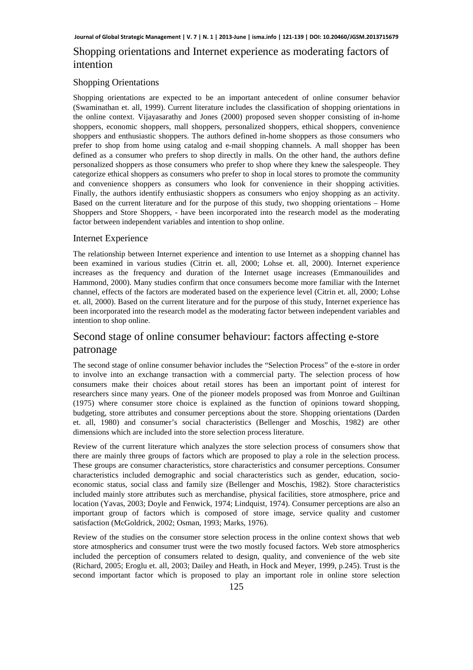# Shopping orientations and Internet experience as moderating factors of intention

#### Shopping Orientations

Shopping orientations are expected to be an important antecedent of online consumer behavior (Swaminathan et. all, 1999). Current literature includes the classification of shopping orientations in the online context. Vijayasarathy and Jones (2000) proposed seven shopper consisting of in-home shoppers, economic shoppers, mall shoppers, personalized shoppers, ethical shoppers, convenience shoppers and enthusiastic shoppers. The authors defined in-home shoppers as those consumers who prefer to shop from home using catalog and e-mail shopping channels. A mall shopper has been defined as a consumer who prefers to shop directly in malls. On the other hand, the authors define personalized shoppers as those consumers who prefer to shop where they knew the salespeople. They categorize ethical shoppers as consumers who prefer to shop in local stores to promote the community and convenience shoppers as consumers who look for convenience in their shopping activities. Finally, the authors identify enthusiastic shoppers as consumers who enjoy shopping as an activity. Based on the current literature and for the purpose of this study, two shopping orientations – Home Shoppers and Store Shoppers, - have been incorporated into the research model as the moderating factor between independent variables and intention to shop online.

#### Internet Experience

The relationship between Internet experience and intention to use Internet as a shopping channel has been examined in various studies (Citrin et. all, 2000; Lohse et. all, 2000). Internet experience increases as the frequency and duration of the Internet usage increases (Emmanouilides and Hammond, 2000). Many studies confirm that once consumers become more familiar with the Internet channel, effects of the factors are moderated based on the experience level (Citrin et. all, 2000; Lohse et. all, 2000). Based on the current literature and for the purpose of this study, Internet experience has been incorporated into the research model as the moderating factor between independent variables and intention to shop online.

# Second stage of online consumer behaviour: factors affecting e-store patronage

The second stage of online consumer behavior includes the "Selection Process" of the e-store in order to involve into an exchange transaction with a commercial party. The selection process of how consumers make their choices about retail stores has been an important point of interest for researchers since many years. One of the pioneer models proposed was from Monroe and Guiltinan (1975) where consumer store choice is explained as the function of opinions toward shopping, budgeting, store attributes and consumer perceptions about the store. Shopping orientations (Darden et. all, 1980) and consumer's social characteristics (Bellenger and Moschis, 1982) are other dimensions which are included into the store selection process literature.

Review of the current literature which analyzes the store selection process of consumers show that there are mainly three groups of factors which are proposed to play a role in the selection process. These groups are consumer characteristics, store characteristics and consumer perceptions. Consumer characteristics included demographic and social characteristics such as gender, education, socioeconomic status, social class and family size (Bellenger and Moschis, 1982). Store characteristics included mainly store attributes such as merchandise, physical facilities, store atmosphere, price and location (Yavas, 2003; Doyle and Fenwick, 1974; Lindquist, 1974). Consumer perceptions are also an important group of factors which is composed of store image, service quality and customer satisfaction (McGoldrick, 2002; Osman, 1993; Marks, 1976).

Review of the studies on the consumer store selection process in the online context shows that web store atmospherics and consumer trust were the two mostly focused factors. Web store atmospherics included the perception of consumers related to design, quality, and convenience of the web site (Richard, 2005; Eroglu et. all, 2003; Dailey and Heath, in Hock and Meyer, 1999, p.245). Trust is the second important factor which is proposed to play an important role in online store selection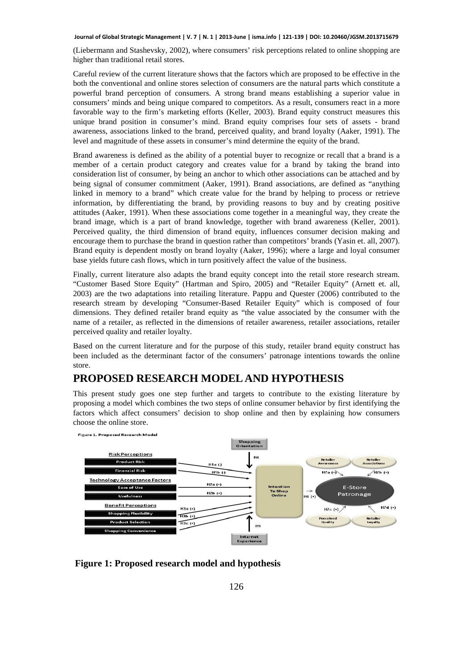(Liebermann and Stashevsky, 2002), where consumers' risk perceptions related to online shopping are higher than traditional retail stores.

Careful review of the current literature shows that the factors which are proposed to be effective in the both the conventional and online stores selection of consumers are the natural parts which constitute a powerful brand perception of consumers. A strong brand means establishing a superior value in consumers' minds and being unique compared to competitors. As a result, consumers react in a more favorable way to the firm's marketing efforts (Keller, 2003). Brand equity construct measures this unique brand position in consumer's mind. Brand equity comprises four sets of assets - brand awareness, associations linked to the brand, perceived quality, and brand loyalty (Aaker, 1991). The level and magnitude of these assets in consumer's mind determine the equity of the brand.

Brand awareness is defined as the ability of a potential buyer to recognize or recall that a brand is a member of a certain product category and creates value for a brand by taking the brand into consideration list of consumer, by being an anchor to which other associations can be attached and by being signal of consumer commitment (Aaker, 1991). Brand associations, are defined as "anything linked in memory to a brand" which create value for the brand by helping to process or retrieve information, by differentiating the brand, by providing reasons to buy and by creating positive attitudes (Aaker, 1991). When these associations come together in a meaningful way, they create the brand image, which is a part of brand knowledge, together with brand awareness (Keller, 2001). Perceived quality, the third dimension of brand equity, influences consumer decision making and encourage them to purchase the brand in question rather than competitors' brands (Yasin et. all, 2007). Brand equity is dependent mostly on brand loyalty (Aaker, 1996); where a large and loyal consumer base yields future cash flows, which in turn positively affect the value of the business.

Finally, current literature also adapts the brand equity concept into the retail store research stream. "Customer Based Store Equity" (Hartman and Spiro, 2005) and "Retailer Equity" (Arnett et. all, 2003) are the two adaptations into retailing literature. Pappu and Quester (2006) contributed to the research stream by developing "Consumer-Based Retailer Equity" which is composed of four dimensions. They defined retailer brand equity as "the value associated by the consumer with the name of a retailer, as reflected in the dimensions of retailer awareness, retailer associations, retailer perceived quality and retailer loyalty.

Based on the current literature and for the purpose of this study, retailer brand equity construct has been included as the determinant factor of the consumers' patronage intentions towards the online store.

### **PROPOSED RESEARCH MODEL AND HYPOTHESIS**

This present study goes one step further and targets to contribute to the existing literature by proposing a model which combines the two steps of online consumer behavior by first identifying the factors which affect consumers' decision to shop online and then by explaining how consumers choose the online store.



**Figure 1: Proposed research model and hypothesis**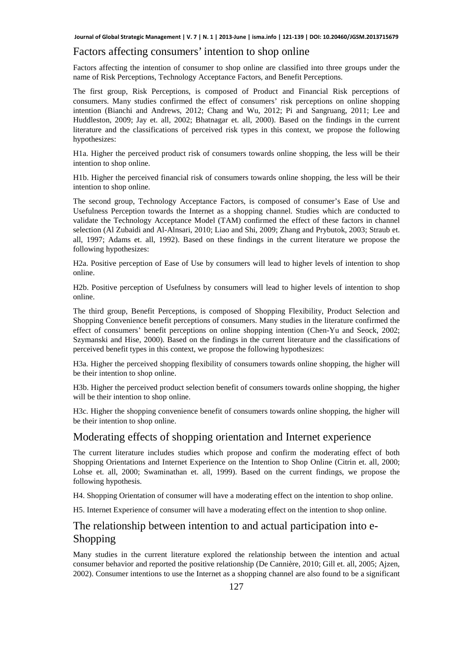#### Factors affecting consumers' intention to shop online

Factors affecting the intention of consumer to shop online are classified into three groups under the name of Risk Perceptions, Technology Acceptance Factors, and Benefit Perceptions.

The first group, Risk Perceptions, is composed of Product and Financial Risk perceptions of consumers. Many studies confirmed the effect of consumers' risk perceptions on online shopping intention (Bianchi and Andrews, 2012; Chang and Wu, 2012; Pi and Sangruang, 2011; Lee and Huddleston, 2009; Jay et. all, 2002; Bhatnagar et. all, 2000). Based on the findings in the current literature and the classifications of perceived risk types in this context, we propose the following hypothesizes:

H1a. Higher the perceived product risk of consumers towards online shopping, the less will be their intention to shop online.

H1b. Higher the perceived financial risk of consumers towards online shopping, the less will be their intention to shop online.

The second group, Technology Acceptance Factors, is composed of consumer's Ease of Use and Usefulness Perception towards the Internet as a shopping channel. Studies which are conducted to validate the Technology Acceptance Model (TAM) confirmed the effect of these factors in channel selection (Al Zubaidi and Al-Alnsari, 2010; Liao and Shi, 2009; Zhang and Prybutok, 2003; Straub et. all, 1997; Adams et. all, 1992). Based on these findings in the current literature we propose the following hypothesizes:

H2a. Positive perception of Ease of Use by consumers will lead to higher levels of intention to shop online.

H2b. Positive perception of Usefulness by consumers will lead to higher levels of intention to shop online.

The third group, Benefit Perceptions, is composed of Shopping Flexibility, Product Selection and Shopping Convenience benefit perceptions of consumers. Many studies in the literature confirmed the effect of consumers' benefit perceptions on online shopping intention (Chen-Yu and Seock, 2002; Szymanski and Hise, 2000). Based on the findings in the current literature and the classifications of perceived benefit types in this context, we propose the following hypothesizes:

H3a. Higher the perceived shopping flexibility of consumers towards online shopping, the higher will be their intention to shop online.

H3b. Higher the perceived product selection benefit of consumers towards online shopping, the higher will be their intention to shop online.

H3c. Higher the shopping convenience benefit of consumers towards online shopping, the higher will be their intention to shop online.

## Moderating effects of shopping orientation and Internet experience

The current literature includes studies which propose and confirm the moderating effect of both Shopping Orientations and Internet Experience on the Intention to Shop Online (Citrin et. all, 2000; Lohse et. all, 2000; Swaminathan et. all, 1999). Based on the current findings, we propose the following hypothesis.

H4. Shopping Orientation of consumer will have a moderating effect on the intention to shop online.

H5. Internet Experience of consumer will have a moderating effect on the intention to shop online.

# The relationship between intention to and actual participation into e-Shopping

Many studies in the current literature explored the relationship between the intention and actual consumer behavior and reported the positive relationship (De Cannière, 2010; Gill et. all, 2005; Ajzen, 2002). Consumer intentions to use the Internet as a shopping channel are also found to be a significant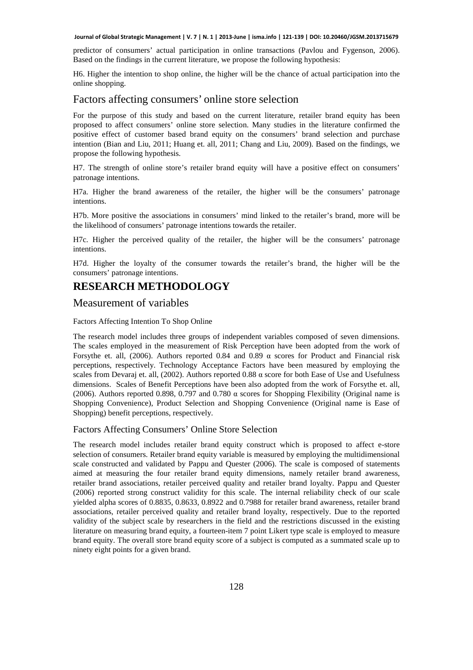predictor of consumers' actual participation in online transactions (Pavlou and Fygenson, 2006). Based on the findings in the current literature, we propose the following hypothesis:

H6. Higher the intention to shop online, the higher will be the chance of actual participation into the online shopping.

#### Factors affecting consumers' online store selection

For the purpose of this study and based on the current literature, retailer brand equity has been proposed to affect consumers' online store selection. Many studies in the literature confirmed the positive effect of customer based brand equity on the consumers' brand selection and purchase intention (Bian and Liu, 2011; Huang et. all, 2011; Chang and Liu, 2009). Based on the findings, we propose the following hypothesis.

H7. The strength of online store's retailer brand equity will have a positive effect on consumers' patronage intentions.

H7a. Higher the brand awareness of the retailer, the higher will be the consumers' patronage intentions.

H7b. More positive the associations in consumers' mind linked to the retailer's brand, more will be the likelihood of consumers' patronage intentions towards the retailer.

H7c. Higher the perceived quality of the retailer, the higher will be the consumers' patronage intentions.

H7d. Higher the loyalty of the consumer towards the retailer's brand, the higher will be the consumers' patronage intentions.

## **RESEARCH METHODOLOGY**

### Measurement of variables

#### Factors Affecting Intention To Shop Online

The research model includes three groups of independent variables composed of seven dimensions. The scales employed in the measurement of Risk Perception have been adopted from the work of Forsythe et. all, (2006). Authors reported 0.84 and 0.89 α scores for Product and Financial risk perceptions, respectively. Technology Acceptance Factors have been measured by employing the scales from Devaraj et. all, (2002). Authors reported 0.88  $\alpha$  score for both Ease of Use and Usefulness dimensions. Scales of Benefit Perceptions have been also adopted from the work of Forsythe et. all, (2006). Authors reported 0.898, 0.797 and 0.780  $\alpha$  scores for Shopping Flexibility (Original name is Shopping Convenience), Product Selection and Shopping Convenience (Original name is Ease of Shopping) benefit perceptions, respectively.

#### Factors Affecting Consumers' Online Store Selection

The research model includes retailer brand equity construct which is proposed to affect e-store selection of consumers. Retailer brand equity variable is measured by employing the multidimensional scale constructed and validated by Pappu and Quester (2006). The scale is composed of statements aimed at measuring the four retailer brand equity dimensions, namely retailer brand awareness, retailer brand associations, retailer perceived quality and retailer brand loyalty. Pappu and Quester (2006) reported strong construct validity for this scale. The internal reliability check of our scale yielded alpha scores of 0.8835, 0.8633, 0.8922 and 0.7988 for retailer brand awareness, retailer brand associations, retailer perceived quality and retailer brand loyalty, respectively. Due to the reported validity of the subject scale by researchers in the field and the restrictions discussed in the existing literature on measuring brand equity, a fourteen-item 7 point Likert type scale is employed to measure brand equity. The overall store brand equity score of a subject is computed as a summated scale up to ninety eight points for a given brand.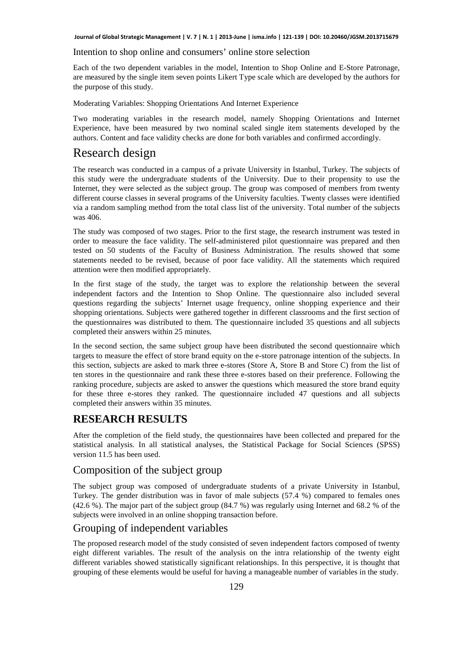#### Intention to shop online and consumers' online store selection

Each of the two dependent variables in the model, Intention to Shop Online and E-Store Patronage, are measured by the single item seven points Likert Type scale which are developed by the authors for the purpose of this study.

Moderating Variables: Shopping Orientations And Internet Experience

Two moderating variables in the research model, namely Shopping Orientations and Internet Experience, have been measured by two nominal scaled single item statements developed by the authors. Content and face validity checks are done for both variables and confirmed accordingly.

# Research design

The research was conducted in a campus of a private University in Istanbul, Turkey. The subjects of this study were the undergraduate students of the University. Due to their propensity to use the Internet, they were selected as the subject group. The group was composed of members from twenty different course classes in several programs of the University faculties. Twenty classes were identified via a random sampling method from the total class list of the university. Total number of the subjects was 406.

The study was composed of two stages. Prior to the first stage, the research instrument was tested in order to measure the face validity. The self-administered pilot questionnaire was prepared and then tested on 50 students of the Faculty of Business Administration. The results showed that some statements needed to be revised, because of poor face validity. All the statements which required attention were then modified appropriately.

In the first stage of the study, the target was to explore the relationship between the several independent factors and the Intention to Shop Online. The questionnaire also included several questions regarding the subjects' Internet usage frequency, online shopping experience and their shopping orientations. Subjects were gathered together in different classrooms and the first section of the questionnaires was distributed to them. The questionnaire included 35 questions and all subjects completed their answers within 25 minutes.

In the second section, the same subject group have been distributed the second questionnaire which targets to measure the effect of store brand equity on the e-store patronage intention of the subjects. In this section, subjects are asked to mark three e-stores (Store A, Store B and Store C) from the list of ten stores in the questionnaire and rank these three e-stores based on their preference. Following the ranking procedure, subjects are asked to answer the questions which measured the store brand equity for these three e-stores they ranked. The questionnaire included 47 questions and all subjects completed their answers within 35 minutes.

### **RESEARCH RESULTS**

After the completion of the field study, the questionnaires have been collected and prepared for the statistical analysis. In all statistical analyses, the Statistical Package for Social Sciences (SPSS) version 11.5 has been used.

## Composition of the subject group

The subject group was composed of undergraduate students of a private University in Istanbul, Turkey. The gender distribution was in favor of male subjects (57.4 %) compared to females ones (42.6 %). The major part of the subject group (84.7 %) was regularly using Internet and 68.2 % of the subjects were involved in an online shopping transaction before.

#### Grouping of independent variables

The proposed research model of the study consisted of seven independent factors composed of twenty eight different variables. The result of the analysis on the intra relationship of the twenty eight different variables showed statistically significant relationships. In this perspective, it is thought that grouping of these elements would be useful for having a manageable number of variables in the study.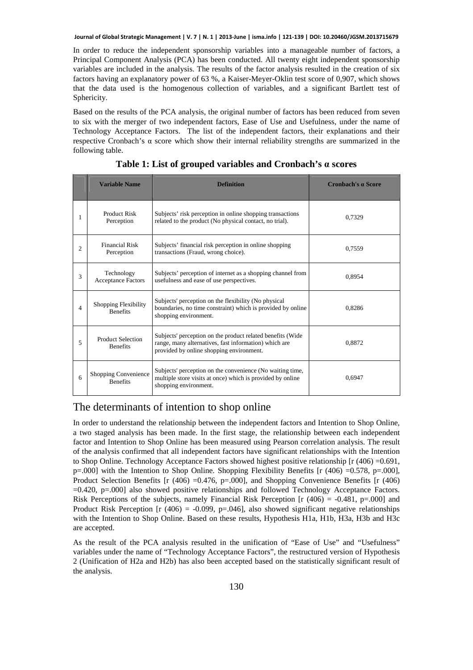In order to reduce the independent sponsorship variables into a manageable number of factors, a Principal Component Analysis (PCA) has been conducted. All twenty eight independent sponsorship variables are included in the analysis. The results of the factor analysis resulted in the creation of six factors having an explanatory power of 63 %, a Kaiser-Meyer-Oklin test score of 0,907, which shows that the data used is the homogenous collection of variables, and a significant Bartlett test of Sphericity.

Based on the results of the PCA analysis, the original number of factors has been reduced from seven to six with the merger of two independent factors, Ease of Use and Usefulness, under the name of Technology Acceptance Factors. The list of the independent factors, their explanations and their respective Cronbach's α score which show their internal reliability strengths are summarized in the following table.

|                | <b>Variable Name</b>                        | <b>Definition</b>                                                                                                                                                | Cronbach's a Score |
|----------------|---------------------------------------------|------------------------------------------------------------------------------------------------------------------------------------------------------------------|--------------------|
| 1              | Product Risk<br>Perception                  | Subjects' risk perception in online shopping transactions<br>related to the product (No physical contact, no trial).                                             | 0.7329             |
| $\overline{c}$ | <b>Financial Risk</b><br>Perception         | Subjects' financial risk perception in online shopping<br>transactions (Fraud, wrong choice).                                                                    | 0.7559             |
| 3              | Technology<br><b>Acceptance Factors</b>     | Subjects' perception of internet as a shopping channel from<br>usefulness and ease of use perspectives.                                                          | 0.8954             |
| 4              | Shopping Flexibility<br><b>Benefits</b>     | Subjects' perception on the flexibility (No physical<br>boundaries, no time constraint) which is provided by online<br>shopping environment.                     | 0.8286             |
| 5              | <b>Product Selection</b><br><b>Benefits</b> | Subjects' perception on the product related benefits (Wide)<br>range, many alternatives, fast information) which are<br>provided by online shopping environment. | 0.8872             |
| 6              | Shopping Convenience<br><b>Benefits</b>     | Subjects' perception on the convenience (No waiting time,<br>multiple store visits at once) which is provided by online<br>shopping environment.                 | 0.6947             |

**Table 1: List of grouped variables and Cronbach's α scores** 

### The determinants of intention to shop online

In order to understand the relationship between the independent factors and Intention to Shop Online, a two staged analysis has been made. In the first stage, the relationship between each independent factor and Intention to Shop Online has been measured using Pearson correlation analysis. The result of the analysis confirmed that all independent factors have significant relationships with the Intention to Shop Online. Technology Acceptance Factors showed highest positive relationship  $[r (406) = 0.691]$ ,  $p=.000$ ] with the Intention to Shop Online. Shopping Flexibility Benefits [r (406) =0.578, p=.000], Product Selection Benefits  $[r (406) = 0.476, p = .000]$ , and Shopping Convenience Benefits  $[r (406)$ =0.420, p=.000] also showed positive relationships and followed Technology Acceptance Factors. Risk Perceptions of the subjects, namely Financial Risk Perception [r (406) =  $-0.481$ , p=.000] and Product Risk Perception [r (406) = -0.099, p=.046], also showed significant negative relationships with the Intention to Shop Online. Based on these results, Hypothesis H1a, H1b, H3a, H3b and H3c are accepted.

As the result of the PCA analysis resulted in the unification of "Ease of Use" and "Usefulness" variables under the name of "Technology Acceptance Factors", the restructured version of Hypothesis 2 (Unification of H2a and H2b) has also been accepted based on the statistically significant result of the analysis.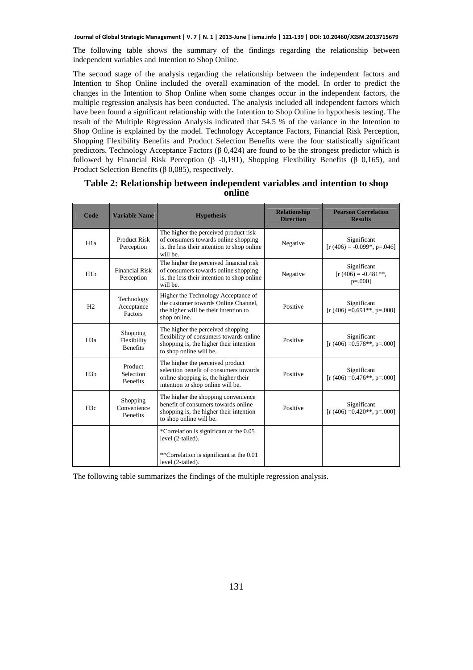The following table shows the summary of the findings regarding the relationship between independent variables and Intention to Shop Online.

The second stage of the analysis regarding the relationship between the independent factors and Intention to Shop Online included the overall examination of the model. In order to predict the changes in the Intention to Shop Online when some changes occur in the independent factors, the multiple regression analysis has been conducted. The analysis included all independent factors which have been found a significant relationship with the Intention to Shop Online in hypothesis testing. The result of the Multiple Regression Analysis indicated that 54.5 % of the variance in the Intention to Shop Online is explained by the model. Technology Acceptance Factors, Financial Risk Perception, Shopping Flexibility Benefits and Product Selection Benefits were the four statistically significant predictors. Technology Acceptance Factors  $(\beta 0, 424)$  are found to be the strongest predictor which is followed by Financial Risk Perception (β -0,191), Shopping Flexibility Benefits (β 0,165), and Product Selection Benefits (β 0,085), respectively.

| Code             | <b>Variable Name</b>                       | <b>Hypothesis</b>                                                                                                                                       | <b>Relationship</b><br><b>Direction</b> | <b>Pearson Correlation</b><br><b>Results</b>       |
|------------------|--------------------------------------------|---------------------------------------------------------------------------------------------------------------------------------------------------------|-----------------------------------------|----------------------------------------------------|
| H <sub>1</sub> a | <b>Product Risk</b><br>Perception          | The higher the perceived product risk<br>of consumers towards online shopping<br>is, the less their intention to shop online<br>will be.                | Negative                                | Significant<br>$[r (406) = -0.099*, p = 0.046]$    |
| H1b              | <b>Financial Risk</b><br>Perception        | The higher the perceived financial risk<br>of consumers towards online shopping<br>is, the less their intention to shop online<br>will be.              | Negative                                | Significant<br>$[r (406) = -0.481**]$<br>$p=.000]$ |
| H2               | Technology<br>Acceptance<br><b>Factors</b> | Higher the Technology Acceptance of<br>the customer towards Online Channel,<br>the higher will be their intention to<br>shop online.                    | Positive                                | Significant<br>$[r (406) = 0.691**, p=.000]$       |
| H <sub>3</sub> a | Shopping<br>Flexibility<br><b>Benefits</b> | The higher the perceived shopping<br>flexibility of consumers towards online<br>shopping is, the higher their intention<br>to shop online will be.      | Positive                                | Significant<br>$[r (406) = 0.578**, p = .000]$     |
| H3h              | Product<br>Selection<br><b>Benefits</b>    | The higher the perceived product<br>selection benefit of consumers towards<br>online shopping is, the higher their<br>intention to shop online will be. | Positive                                | Significant<br>$[r (406) = 0.476**, p = 0.00]$     |
| H <sub>3c</sub>  | Shopping<br>Convenience<br><b>Benefits</b> | The higher the shopping convenience<br>benefit of consumers towards online<br>shopping is, the higher their intention<br>to shop online will be.        | Positive                                | Significant<br>$[r (406) = 0.420**, p = .000]$     |
|                  |                                            | *Correlation is significant at the 0.05<br>level (2-tailed).                                                                                            |                                         |                                                    |
|                  |                                            | **Correlation is significant at the 0.01<br>level (2-tailed).                                                                                           |                                         |                                                    |

#### **Table 2: Relationship between independent variables and intention to shop online**

The following table summarizes the findings of the multiple regression analysis.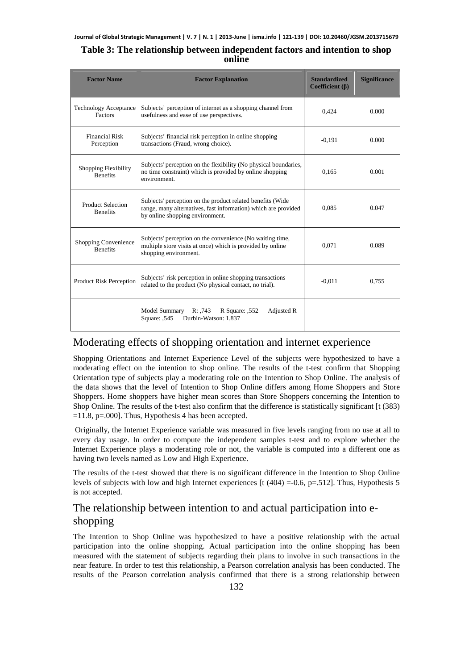### **Table 3: The relationship between independent factors and intention to shop online**

| <b>Factor Name</b>                             | <b>Factor Explanation</b>                                                                                                                                       | <b>Standardized</b><br>Coefficient $(\beta)$ | <b>Significance</b> |
|------------------------------------------------|-----------------------------------------------------------------------------------------------------------------------------------------------------------------|----------------------------------------------|---------------------|
| <b>Technology Acceptance</b><br><b>Factors</b> | Subjects' perception of internet as a shopping channel from<br>usefulness and ease of use perspectives.                                                         | 0,424                                        | 0.000               |
| <b>Financial Risk</b><br>Perception            | Subjects' financial risk perception in online shopping<br>transactions (Fraud, wrong choice).                                                                   | $-0.191$                                     | 0.000               |
| Shopping Flexibility<br><b>Benefits</b>        | Subjects' perception on the flexibility (No physical boundaries,<br>no time constraint) which is provided by online shopping<br>environment.                    | 0,165                                        | 0.001               |
| <b>Product Selection</b><br><b>Benefits</b>    | Subjects' perception on the product related benefits (Wide<br>range, many alternatives, fast information) which are provided<br>by online shopping environment. | 0.085                                        | 0.047               |
| Shopping Convenience<br><b>Benefits</b>        | Subjects' perception on the convenience (No waiting time,<br>multiple store visits at once) which is provided by online<br>shopping environment.                | 0.071                                        | 0.089               |
| <b>Product Risk Perception</b>                 | Subjects' risk perception in online shopping transactions<br>related to the product (No physical contact, no trial).                                            | $-0.011$                                     | 0.755               |
|                                                | Model Summary<br>Adjusted R<br>R: .743<br>R Square: ,552<br><b>Square: .545</b><br>Durbin-Watson: 1,837                                                         |                                              |                     |

### Moderating effects of shopping orientation and internet experience

Shopping Orientations and Internet Experience Level of the subjects were hypothesized to have a moderating effect on the intention to shop online. The results of the t-test confirm that Shopping Orientation type of subjects play a moderating role on the Intention to Shop Online. The analysis of the data shows that the level of Intention to Shop Online differs among Home Shoppers and Store Shoppers. Home shoppers have higher mean scores than Store Shoppers concerning the Intention to Shop Online. The results of the t-test also confirm that the difference is statistically significant [t (383)  $=11.8$ , p=.000]. Thus, Hypothesis 4 has been accepted.

 Originally, the Internet Experience variable was measured in five levels ranging from no use at all to every day usage. In order to compute the independent samples t-test and to explore whether the Internet Experience plays a moderating role or not, the variable is computed into a different one as having two levels named as Low and High Experience.

The results of the t-test showed that there is no significant difference in the Intention to Shop Online levels of subjects with low and high Internet experiences [t  $(404) = 0.6$ , p=.512]. Thus, Hypothesis 5 is not accepted.

# The relationship between intention to and actual participation into eshopping

The Intention to Shop Online was hypothesized to have a positive relationship with the actual participation into the online shopping. Actual participation into the online shopping has been measured with the statement of subjects regarding their plans to involve in such transactions in the near feature. In order to test this relationship, a Pearson correlation analysis has been conducted. The results of the Pearson correlation analysis confirmed that there is a strong relationship between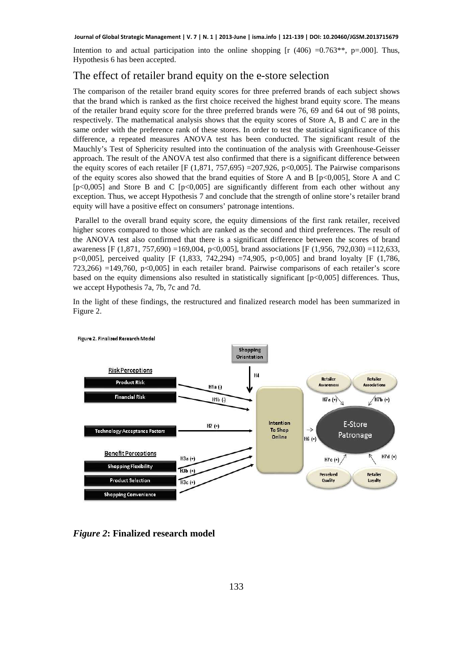Intention to and actual participation into the online shopping  $[r (406) = 0.763**, p=.000]$ . Thus, Hypothesis 6 has been accepted.

## The effect of retailer brand equity on the e-store selection

The comparison of the retailer brand equity scores for three preferred brands of each subject shows that the brand which is ranked as the first choice received the highest brand equity score. The means of the retailer brand equity score for the three preferred brands were 76, 69 and 64 out of 98 points, respectively. The mathematical analysis shows that the equity scores of Store A, B and C are in the same order with the preference rank of these stores. In order to test the statistical significance of this difference, a repeated measures ANOVA test has been conducted. The significant result of the Mauchly's Test of Sphericity resulted into the continuation of the analysis with Greenhouse-Geisser approach. The result of the ANOVA test also confirmed that there is a significant difference between the equity scores of each retailer [F (1,871, 757,695) =207,926, p<0,005]. The Pairwise comparisons of the equity scores also showed that the brand equities of Store A and B [p<0,005], Store A and C  $[p<0,005]$  and Store B and C  $[p<0,005]$  are significantly different from each other without any exception. Thus, we accept Hypothesis 7 and conclude that the strength of online store's retailer brand equity will have a positive effect on consumers' patronage intentions.

 Parallel to the overall brand equity score, the equity dimensions of the first rank retailer, received higher scores compared to those which are ranked as the second and third preferences. The result of the ANOVA test also confirmed that there is a significant difference between the scores of brand awareness [F (1,871, 757,690) =169,004, p<0,005], brand associations [F (1,956, 792,030) =112,633, p<0,005], perceived quality [F (1,833, 742,294) =74,905, p<0,005] and brand loyalty [F (1,786, 723,266) =149,760, p<0,005] in each retailer brand. Pairwise comparisons of each retailer's score based on the equity dimensions also resulted in statistically significant [p<0,005] differences. Thus, we accept Hypothesis 7a, 7b, 7c and 7d.

In the light of these findings, the restructured and finalized research model has been summarized in Figure 2.



Figure 2. Finalized Research Model

*Figure 2***: Finalized research model**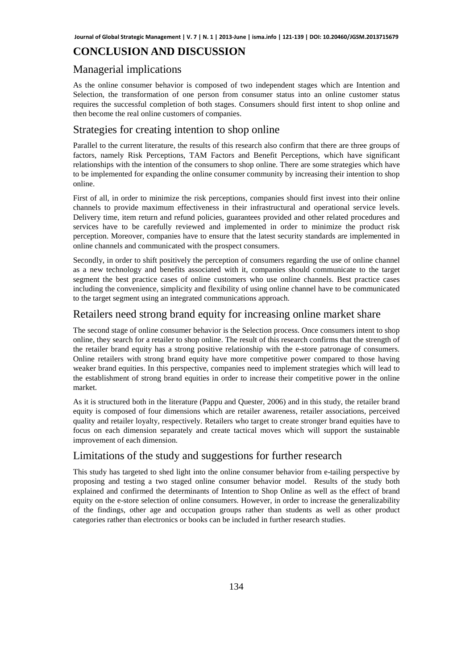### **CONCLUSION AND DISCUSSION**

### Managerial implications

As the online consumer behavior is composed of two independent stages which are Intention and Selection, the transformation of one person from consumer status into an online customer status requires the successful completion of both stages. Consumers should first intent to shop online and then become the real online customers of companies.

### Strategies for creating intention to shop online

Parallel to the current literature, the results of this research also confirm that there are three groups of factors, namely Risk Perceptions, TAM Factors and Benefit Perceptions, which have significant relationships with the intention of the consumers to shop online. There are some strategies which have to be implemented for expanding the online consumer community by increasing their intention to shop online.

First of all, in order to minimize the risk perceptions, companies should first invest into their online channels to provide maximum effectiveness in their infrastructural and operational service levels. Delivery time, item return and refund policies, guarantees provided and other related procedures and services have to be carefully reviewed and implemented in order to minimize the product risk perception. Moreover, companies have to ensure that the latest security standards are implemented in online channels and communicated with the prospect consumers.

Secondly, in order to shift positively the perception of consumers regarding the use of online channel as a new technology and benefits associated with it, companies should communicate to the target segment the best practice cases of online customers who use online channels. Best practice cases including the convenience, simplicity and flexibility of using online channel have to be communicated to the target segment using an integrated communications approach.

### Retailers need strong brand equity for increasing online market share

The second stage of online consumer behavior is the Selection process. Once consumers intent to shop online, they search for a retailer to shop online. The result of this research confirms that the strength of the retailer brand equity has a strong positive relationship with the e-store patronage of consumers. Online retailers with strong brand equity have more competitive power compared to those having weaker brand equities. In this perspective, companies need to implement strategies which will lead to the establishment of strong brand equities in order to increase their competitive power in the online market.

As it is structured both in the literature (Pappu and Quester, 2006) and in this study, the retailer brand equity is composed of four dimensions which are retailer awareness, retailer associations, perceived quality and retailer loyalty, respectively. Retailers who target to create stronger brand equities have to focus on each dimension separately and create tactical moves which will support the sustainable improvement of each dimension.

### Limitations of the study and suggestions for further research

This study has targeted to shed light into the online consumer behavior from e-tailing perspective by proposing and testing a two staged online consumer behavior model. Results of the study both explained and confirmed the determinants of Intention to Shop Online as well as the effect of brand equity on the e-store selection of online consumers. However, in order to increase the generalizability of the findings, other age and occupation groups rather than students as well as other product categories rather than electronics or books can be included in further research studies.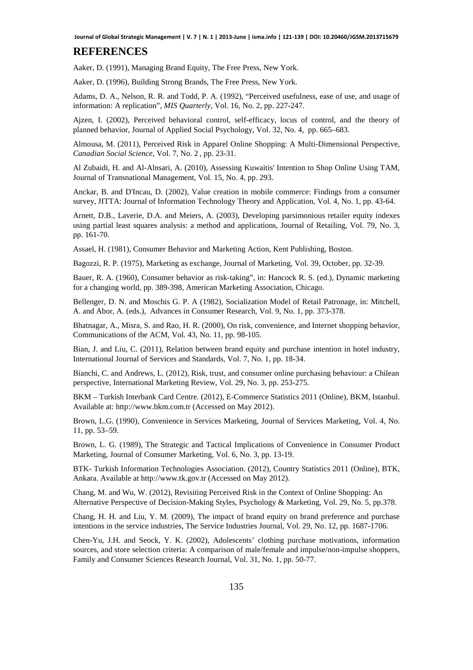#### **REFERENCES**

Aaker, D. (1991), Managing Brand Equity, The Free Press, New York.

Aaker, D. (1996), Building Strong Brands, The Free Press, New York.

Adams, D. A., Nelson, R. R. and Todd, P. A. (1992), "Perceived usefulness, ease of use, and usage of information: A replication", *MIS Quarterly*, Vol. 16, No. 2, pp. 227-247.

Ajzen, I. (2002), Perceived behavioral control, self-efficacy, locus of control, and the theory of planned behavior, Journal of Applied Social Psychology, Vol. 32, No. 4, pp. 665–683.

Almousa, M. (2011), Perceived Risk in Apparel Online Shopping: A Multi-Dimensional Perspective, *Canadian Social Science*, Vol. 7, No. 2 , pp. 23-31.

Al Zubaidi, H. and Al-Alnsari, A. (2010), Assessing Kuwaitis' Intention to Shop Online Using TAM, Journal of Transnational Management, Vol. 15, No. 4, pp. 293.

Anckar, B. and D'Incau, D. (2002)*,* Value creation in mobile commerce: Findings from a consumer survey, JITTA: Journal of Information Technology Theory and Application*,* Vol. 4, No. 1, pp. 43-64.

Arnett, D.B., Laverie, D.A. and Meiers, A. (2003), Developing parsimonious retailer equity indexes using partial least squares analysis: a method and applications, Journal of Retailing, Vol. 79, No. 3, pp. 161-70.

Assael, H. (1981), Consumer Behavior and Marketing Action, Kent Publishing, Boston.

Bagozzi, R. P. (1975), Marketing as exchange, Journal of Marketing, Vol. 39, October, pp. 32-39.

Bauer, R. A. (1960), Consumer behavior as risk-taking", in: Hancock R. S. (ed.), Dynamic marketing for a changing world, pp. 389-398, American Marketing Association, Chicago.

Bellenger, D. N. and Moschis G. P. A (1982), Socialization Model of Retail Patronage, in: Mitchell, A. and Abor, A. (eds.), Advances in Consumer Research, Vol. 9, No. 1, pp. 373-378.

Bhatnagar, A., Misra, S. and Rao, H. R. (2000), On risk, convenience, and Internet shopping behavior, Communications of the ACM, Vol. 43, No. 11, pp. 98-105.

Bian, J. and Liu, C. (2011), Relation between brand equity and purchase intention in hotel industry, International Journal of Services and Standards, Vol. 7, No. 1, pp. 18-34.

Bianchi, C. and Andrews, L. (2012), Risk, trust, and consumer online purchasing behaviour: a Chilean perspective, International Marketing Review, Vol. 29, No. 3, pp. 253-275.

BKM – Turkish Interbank Card Centre. (2012), E-Commerce Statistics 2011 (Online), BKM, Istanbul. Available at: http://www.bkm.com.tr (Accessed on May 2012).

Brown, L.G. (1990), Convenience in Services Marketing, Journal of Services Marketing, Vol. 4, No. 11, pp. 53–59.

Brown, L. G. (1989), The Strategic and Tactical Implications of Convenience in Consumer Product Marketing, Journal of Consumer Marketing, Vol. 6, No. 3, pp. 13-19.

BTK- Turkish Information Technologies Association. (2012), Country Statistics 2011 (Online), BTK, Ankara. Available at http://www.tk.gov.tr (Accessed on May 2012).

Chang, M. and Wu, W. (2012), Revisiting Perceived Risk in the Context of Online Shopping: An Alternative Perspective of Decision-Making Styles, Psychology & Marketing, Vol. 29, No. 5, pp.378.

Chang, H. H. and Liu, Y. M. (2009), The impact of brand equity on brand preference and purchase intentions in the service industries, The Service Industries Journal*,* Vol. 29, No. 12, pp. 1687-1706.

Chen-Yu, J.H. and Seock, Y. K. (2002), Adolescents' clothing purchase motivations, information sources, and store selection criteria: A comparison of male/female and impulse/non-impulse shoppers, Family and Consumer Sciences Research Journal, Vol. 31, No. 1, pp. 50-77.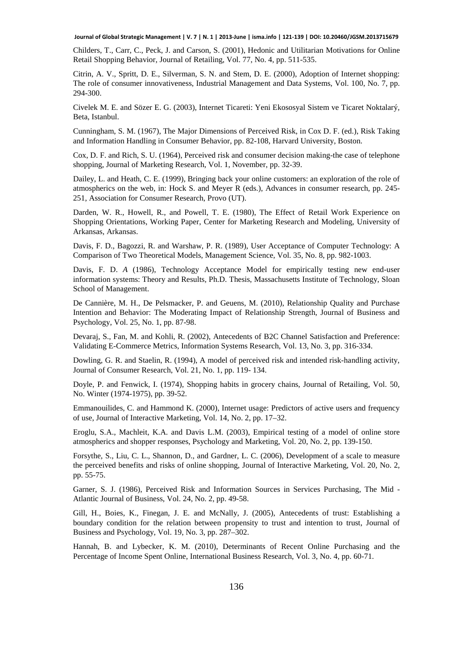Childers, T., Carr, C., Peck, J. and Carson, S. (2001), Hedonic and Utilitarian Motivations for Online Retail Shopping Behavior, Journal of Retailing, Vol. 77, No. 4, pp. 511-535.

Citrin, A. V., Spritt, D. E., Silverman, S. N. and Stem, D. E. (2000), Adoption of Internet shopping: The role of consumer innovativeness, Industrial Management and Data Systems, Vol. 100, No. 7, pp. 294-300.

Civelek M. E. and Sözer E. G. (2003), Internet Ticareti: Yeni Ekososyal Sistem ve Ticaret Noktalarý*,* Beta, Istanbul.

Cunningham, S. M. (1967), The Major Dimensions of Perceived Risk, in Cox D. F. (ed.), Risk Taking and Information Handling in Consumer Behavior, pp. 82-108, Harvard University, Boston.

Cox, D. F. and Rich, S. U. (1964), Perceived risk and consumer decision making-the case of telephone shopping, Journal of Marketing Research, Vol. 1, November, pp. 32-39.

Dailey, L. and Heath, C. E. (1999), Bringing back your online customers: an exploration of the role of atmospherics on the web, in: Hock S. and Meyer R (eds.), Advances in consumer research, pp. 245- 251, Association for Consumer Research, Provo (UT).

Darden, W. R., Howell, R., and Powell, T. E. (1980), The Effect of Retail Work Experience on Shopping Orientations, Working Paper, Center for Marketing Research and Modeling, University of Arkansas, Arkansas.

Davis, F. D., Bagozzi, R. and Warshaw, P. R. (1989), User Acceptance of Computer Technology: A Comparison of Two Theoretical Models, Management Science*,* Vol. 35, No. 8, pp. 982-1003.

Davis, F. D. *A* (1986), Technology Acceptance Model for empirically testing new end-user information systems: Theory and Results*,* Ph.D. Thesis, Massachusetts Institute of Technology, Sloan School of Management.

De Cannière, M. H., De Pelsmacker, P. and Geuens, M. (2010), Relationship Quality and Purchase Intention and Behavior: The Moderating Impact of Relationship Strength, Journal of Business and Psychology, Vol. 25, No. 1, pp. 87-98.

Devaraj, S., Fan, M. and Kohli, R. (2002), Antecedents of B2C Channel Satisfaction and Preference: Validating E-Commerce Metrics, Information Systems Research, Vol. 13, No. 3, pp. 316-334.

Dowling, G. R. and Staelin, R. (1994), A model of perceived risk and intended risk-handling activity, Journal of Consumer Research, Vol. 21, No. 1, pp. 119- 134.

Doyle, P. and Fenwick, I. (1974), Shopping habits in grocery chains, Journal of Retailing, Vol. 50, No. Winter (1974-1975), pp. 39-52.

Emmanouilides, C. and Hammond K. (2000), Internet usage: Predictors of active users and frequency of use, Journal of Interactive Marketing, Vol. 14, No. 2, pp. 17–32.

Eroglu, S.A., Machleit, K.A. and Davis L.M. (2003), Empirical testing of a model of online store atmospherics and shopper responses, Psychology and Marketing, Vol. 20, No. 2, pp. 139-150.

Forsythe, S., Liu, C. L., Shannon, D., and Gardner, L. C. (2006), Development of a scale to measure the perceived benefits and risks of online shopping, Journal of Interactive Marketing, Vol. 20, No. 2, pp. 55-75.

Garner, S. J. (1986), Perceived Risk and Information Sources in Services Purchasing, The Mid - Atlantic Journal of Business, Vol. 24, No. 2, pp. 49-58.

Gill, H., Boies, K., Finegan, J. E. and McNally, J. (2005), Antecedents of trust: Establishing a boundary condition for the relation between propensity to trust and intention to trust, Journal of Business and Psychology, Vol. 19, No. 3, pp. 287–302.

Hannah, B. and Lybecker, K. M. (2010), Determinants of Recent Online Purchasing and the Percentage of Income Spent Online, International Business Research, Vol. 3, No. 4, pp. 60-71.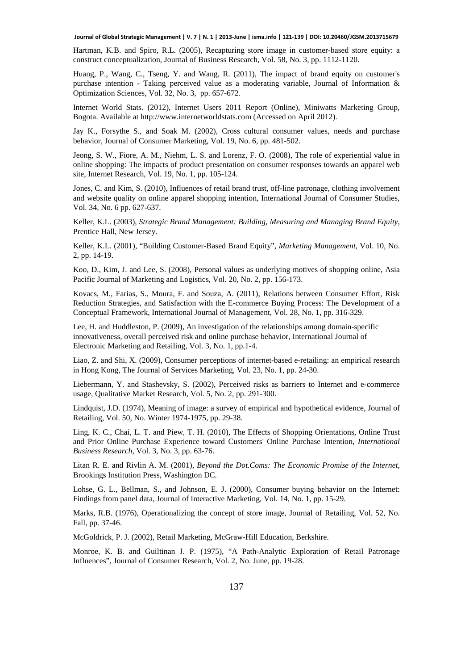Hartman, K.B. and Spiro, R.L. (2005), Recapturing store image in customer-based store equity: a construct conceptualization, Journal of Business Research, Vol. 58, No. 3, pp. 1112-1120.

Huang, P., Wang, C., Tseng, Y. and Wang, R. (2011), The impact of brand equity on customer's purchase intention - Taking perceived value as a moderating variable, Journal of Information  $\&$ Optimization Sciences, Vol. 32, No. 3, pp. 657-672.

Internet World Stats. (2012), Internet Users 2011 Report (Online), Miniwatts Marketing Group, Bogota. Available at http://www.internetworldstats.com (Accessed on April 2012).

Jay K., Forsythe S., and Soak M. (2002), Cross cultural consumer values, needs and purchase behavior, Journal of Consumer Marketing, Vol. 19, No. 6, pp. 481-502.

Jeong, S. W., Fiore, A. M., Niehm, L. S. and Lorenz, F. O. (2008), The role of experiential value in online shopping: The impacts of product presentation on consumer responses towards an apparel web site, Internet Research*,* Vol. 19, No. 1, pp. 105-124.

Jones, C. and Kim, S. (2010), Influences of retail brand trust, off-line patronage, clothing involvement and website quality on online apparel shopping intention, International Journal of Consumer Studies, Vol. 34, No. 6 pp. 627-637.

Keller, K.L. (2003), *Strategic Brand Management: Building, Measuring and Managing Brand Equity,* Prentice Hall, New Jersey.

Keller, K.L. (2001), "Building Customer-Based Brand Equity", *Marketing Management*, Vol. 10, No. 2, pp. 14-19.

Koo, D., Kim, J. and Lee, S. (2008), Personal values as underlying motives of shopping online, Asia Pacific Journal of Marketing and Logistics, Vol. 20, No. 2, pp. 156-173.

Kovacs, M., Farias, S., Moura, F. and Souza, A. (2011), Relations between Consumer Effort, Risk Reduction Strategies, and Satisfaction with the E-commerce Buying Process: The Development of a Conceptual Framework, International Journal of Management, Vol. 28, No. 1, pp. 316-329.

Lee, H. and Huddleston, P. (2009), An investigation of the relationships among domain-specific innovativeness, overall perceived risk and online purchase behavior, International Journal of Electronic Marketing and Retailing, Vol. 3, No. 1, pp.1-4.

Liao, Z. and Shi, X. (2009), Consumer perceptions of internet-based e-retailing: an empirical research in Hong Kong, The Journal of Services Marketing, Vol. 23, No. 1, pp. 24-30.

Liebermann, Y. and Stashevsky, S. (2002), Perceived risks as barriers to Internet and e-commerce usage, Qualitative Market Research, Vol. 5, No. 2, pp. 291-300.

Lindquist, J.D. (1974), Meaning of image: a survey of empirical and hypothetical evidence, Journal of Retailing, Vol. 50, No. Winter 1974-1975, pp. 29-38.

Ling, K. C., Chai, L. T. and Piew, T. H. (2010), The Effects of Shopping Orientations, Online Trust and Prior Online Purchase Experience toward Customers' Online Purchase Intention, *International Business Research,* Vol. 3, No. 3, pp. 63-76.

Litan R. E. and Rivlin A. M. (2001), *Beyond the Dot.Coms: The Economic Promise of the Internet*, Brookings Institution Press, Washington DC.

Lohse, G. L., Bellman, S., and Johnson, E. J. (2000), Consumer buying behavior on the Internet: Findings from panel data, Journal of Interactive Marketing, Vol. 14, No. 1, pp. 15-29.

Marks, R.B. (1976), Operationalizing the concept of store image, Journal of Retailing, Vol. 52, No. Fall, pp. 37-46.

McGoldrick, P. J. (2002), Retail Marketing, McGraw-Hill Education, Berkshire.

Monroe, K. B. and Guiltinan J. P. (1975), "A Path-Analytic Exploration of Retail Patronage Influences", Journal of Consumer Research, Vol. 2, No. June, pp. 19-28.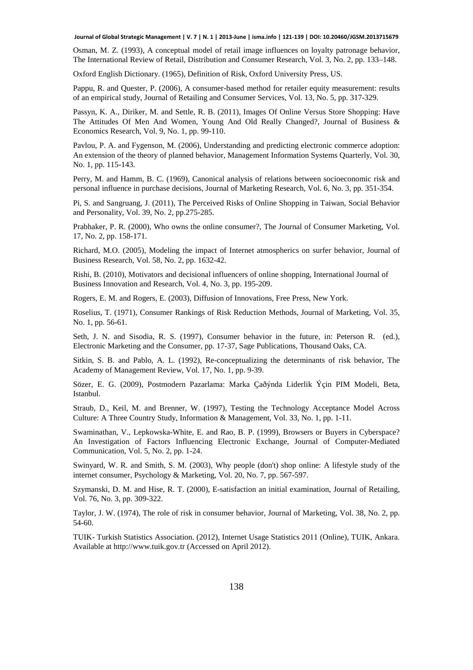Osman, M. Z. (1993), A conceptual model of retail image influences on loyalty patronage behavior, The International Review of Retail, Distribution and Consumer Research, Vol. 3, No. 2, pp. 133–148.

Oxford English Dictionary. (1965), Definition of Risk, Oxford University Press, US.

Pappu, R. and Quester, P. (2006), A consumer-based method for retailer equity measurement: results of an empirical study, Journal of Retailing and Consumer Services, Vol. 13, No. 5, pp. 317-329.

Passyn, K. A., Diriker, M. and Settle, R. B. (2011), Images Of Online Versus Store Shopping: Have The Attitudes Of Men And Women, Young And Old Really Changed?, Journal of Business & Economics Research, Vol. 9, No. 1, pp. 99-110.

Pavlou, P. A. and Fygenson, M. (2006), Understanding and predicting electronic commerce adoption: An extension of the theory of planned behavior, Management Information Systems Quarterly, Vol. 30, No. 1, pp. 115-143.

Perry, M. and Hamm, B. C. (1969), Canonical analysis of relations between socioeconomic risk and personal influence in purchase decisions, Journal of Marketing Research, Vol. 6, No. 3, pp. 351-354.

Pi, S. and Sangruang, J. (2011), The Perceived Risks of Online Shopping in Taiwan, Social Behavior and Personality, Vol. 39, No. 2, pp.275-285.

Prabhaker, P. R. (2000), Who owns the online consumer?, The Journal of Consumer Marketing, Vol. 17, No. 2, pp. 158-171.

Richard, M.O. (2005), Modeling the impact of Internet atmospherics on surfer behavior, Journal of Business Research, Vol. 58, No. 2, pp. 1632-42.

Rishi, B. (2010), Motivators and decisional influencers of online shopping, International Journal of Business Innovation and Research, Vol. 4, No. 3, pp. 195-209.

Rogers, E. M. and Rogers, E. (2003), Diffusion of Innovations, Free Press, New York.

Roselius, T. (1971), Consumer Rankings of Risk Reduction Methods, Journal of Marketing, Vol. 35, No. 1, pp. 56-61.

Seth, J. N. and Sisodia, R. S. (1997), Consumer behavior in the future, in: Peterson R. (ed.), Electronic Marketing and the Consumer, pp. 17-37, Sage Publications, Thousand Oaks, CA.

Sitkin, S. B. and Pablo, A. L. (1992), Re-conceptualizing the determinants of risk behavior, The Academy of Management Review, Vol. 17, No. 1, pp. 9-39.

Sözer, E. G. (2009), Postmodern Pazarlama: Marka Çaðýnda Liderlik Ýçin PIM Modeli*,* Beta, Istanbul.

Straub, D., Keil, M. and Brenner, W. (1997), Testing the Technology Acceptance Model Across Culture: A Three Country Study, Information & Management, Vol. 33, No. 1, pp. 1-11.

Swaminathan, V., Lepkowska-White, E. and Rao, B. P. (1999), Browsers or Buyers in Cyberspace? An Investigation of Factors Influencing Electronic Exchange, Journal of Computer-Mediated Communication, Vol. 5, No. 2, pp. 1-24.

Swinyard, W. R. and Smith, S. M. (2003), Why people (don't) shop online: A lifestyle study of the internet consumer, Psychology & Marketing, Vol. 20, No. 7, pp. 567-597.

Szymanski, D. M. and Hise, R. T. (2000), E-satisfaction an initial examination, Journal of Retailing, Vol. 76, No. 3, pp. 309-322.

Taylor, J. W. (1974), The role of risk in consumer behavior, Journal of Marketing, Vol. 38, No. 2, pp. 54-60.

TUIK- Turkish Statistics Association. (2012), Internet Usage Statistics 2011 (Online), TUIK, Ankara. Available at http://www.tuik.gov.tr (Accessed on April 2012).